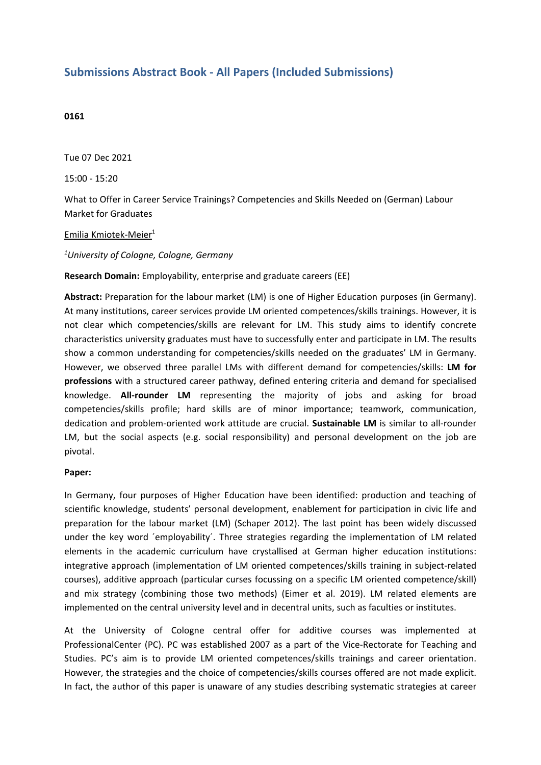## **Submissions Abstract Book - All Papers (Included Submissions)**

## **0161**

Tue 07 Dec 2021

15:00 - 15:20

What to Offer in Career Service Trainings? Competencies and Skills Needed on (German) Labour Market for Graduates

## Emilia Kmiotek-Meier 1

*1 University of Cologne, Cologne, Germany*

**Research Domain:** Employability, enterprise and graduate careers (EE)

**Abstract:** Preparation for the labour market (LM) is one of Higher Education purposes (in Germany). At many institutions, career services provide LM oriented competences/skills trainings. However, it is not clear which competencies/skills are relevant for LM. This study aims to identify concrete characteristics university graduates must have to successfully enter and participate in LM. The results show <sup>a</sup> common understanding for competencies/skills needed on the graduates' LM in Germany. However, we observed three parallel LMs with different demand for competencies/skills: **LM for professions** with <sup>a</sup> structured career pathway, defined entering criteria and demand for specialised knowledge. **All-rounder LM** representing the majority of jobs and asking for broad competencies/skills profile; hard skills are of minor importance; teamwork, communication, dedication and problem-oriented work attitude are crucial. **Sustainable LM** is similar to all-rounder LM, but the social aspects (e.g. social responsibility) and personal development on the job are pivotal.

## **Paper:**

In Germany, four purposes of Higher Education have been identified: production and teaching of scientific knowledge, students' personal development, enablement for participation in civic life and preparation for the labour market (LM) (Schaper 2012). The last point has been widely discussed under the key word ´employability´. Three strategies regarding the implementation of LM related elements in the academic curriculum have crystallised at German higher education institutions: integrative approach (implementation of LM oriented competences/skills training in subject-related courses), additive approach (particular curses focussing on <sup>a</sup> specific LM oriented competence/skill) and mix strategy (combining those two methods) (Eimer et al. 2019). LM related elements are implemented on the central university level and in decentral units, such as faculties or institutes.

At the University of Cologne central offer for additive courses was implemented at ProfessionalCenter (PC). PC was established 2007 as <sup>a</sup> part of the Vice-Rectorate for Teaching and Studies. PC's aim is to provide LM oriented competences/skills trainings and career orientation. However, the strategies and the choice of competencies/skills courses offered are not made explicit. In fact, the author of this paper is unaware of any studies describing systematic strategies at career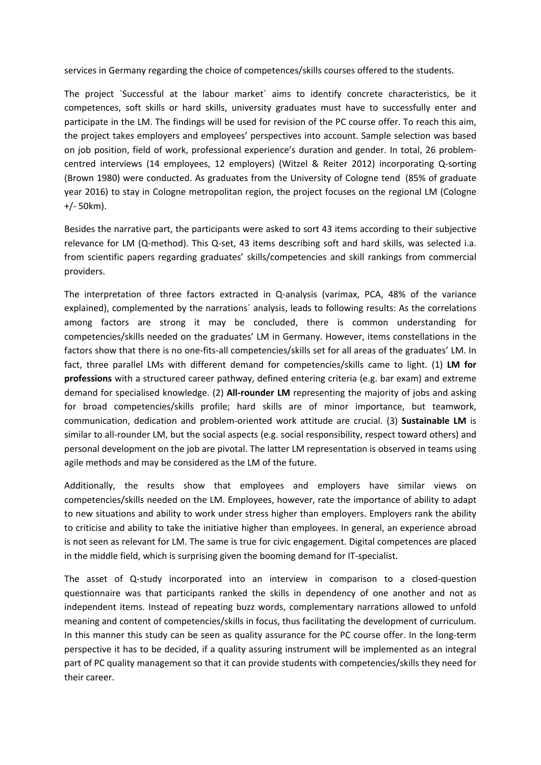services in Germany regarding the choice of competences/skills courses offered to the students.

The project `Successful at the labour market´ aims to identify concrete characteristics, be it competences, soft skills or hard skills, university graduates must have to successfully enter and participate in the LM. The findings will be used for revision of the PC course offer. To reach this aim, the project takes employers and employees' perspectives into account. Sample selection was based on job position, field of work, professional experience's duration and gender. In total, 26 problemcentred interviews (14 employees, 12 employers) (Witzel & Reiter 2012) incorporating Q-sorting (Brown 1980) were conducted. As graduates from the University of Cologne tend (85% of graduate year 2016) to stay in Cologne metropolitan region, the project focuses on the regional LM (Cologne +/- 50km).

Besides the narrative part, the participants were asked to sort 43 items according to their subjective relevance for LM (Q-method). This Q-set, 43 items describing soft and hard skills, was selected i.a. from scientific papers regarding graduates' skills/competencies and skill rankings from commercial providers.

The interpretation of three factors extracted in Q-analysis (varimax, PCA, 48% of the variance explained), complemented by the narrations´ analysis, leads to following results: As the correlations among factors are strong it may be concluded, there is common understanding for competencies/skills needed on the graduates' LM in Germany. However, items constellations in the factors show that there is no one-fits-all competencies/skills set for all areas of the graduates' LM. In fact, three parallel LMs with different demand for competencies/skills came to light. (1) **LM for professions** with <sup>a</sup> structured career pathway, defined entering criteria (e.g. bar exam) and extreme demand for specialised knowledge. (2) **All-rounder LM** representing the majority of jobs and asking for broad competencies/skills profile; hard skills are of minor importance, but teamwork, communication, dedication and problem-oriented work attitude are crucial. (3) **Sustainable LM** is similar to all-rounder LM, but the social aspects (e.g. social responsibility, respect toward others) and personal development on the job are pivotal. The latter LM representation is observed in teams using agile methods and may be considered as the LM of the future.

Additionally, the results show that employees and employers have similar views on competencies/skills needed on the LM. Employees, however, rate the importance of ability to adapt to new situations and ability to work under stress higher than employers. Employers rank the ability to criticise and ability to take the initiative higher than employees. In general, an experience abroad is not seen as relevant for LM. The same is true for civic engagement. Digital competences are placed in the middle field, which is surprising given the booming demand for IT-specialist.

The asset of Q-study incorporated into an interview in comparison to <sup>a</sup> closed-question questionnaire was that participants ranked the skills in dependency of one another and not as independent items. Instead of repeating buzz words, complementary narrations allowed to unfold meaning and content of competencies/skills in focus, thus facilitating the development of curriculum. In this manner this study can be seen as quality assurance for the PC course offer. In the long-term perspective it has to be decided, if <sup>a</sup> quality assuring instrument will be implemented as an integral part of PC quality management so that it can provide students with competencies/skills they need for their career.